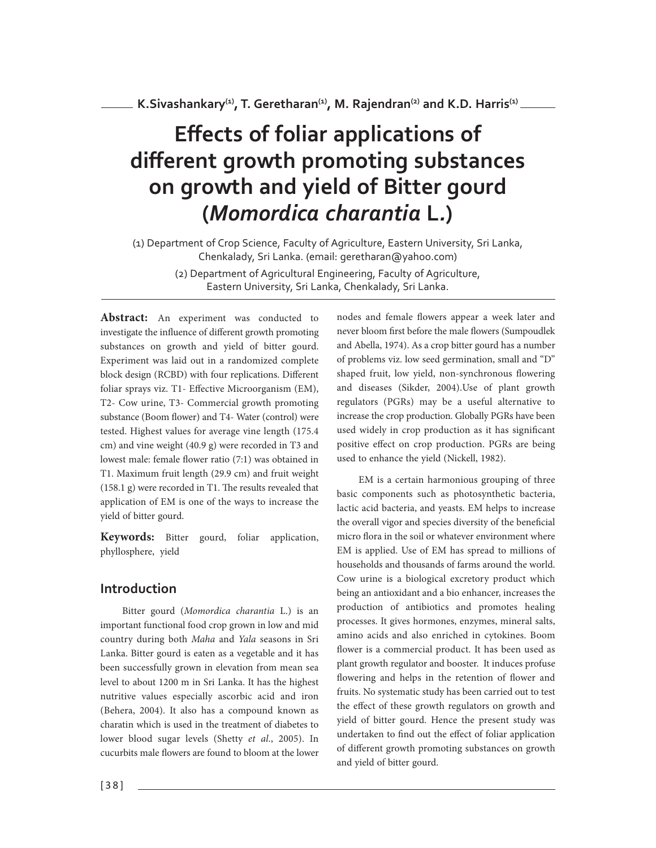# **Effects of foliar applications of different growth promoting substances on growth and yield of Bitter gourd (***Momordica charantia* **L***.***)**

(1) Department of Crop Science, Faculty of Agriculture, Eastern University, Sri Lanka, Chenkalady, Sri Lanka. (email: geretharan@yahoo.com) (2) Department of Agricultural Engineering, Faculty of Agriculture, Eastern University, Sri Lanka, Chenkalady, Sri Lanka.

**Abstract:** An experiment was conducted to investigate the influence of different growth promoting substances on growth and yield of bitter gourd. Experiment was laid out in a randomized complete block design (RCBD) with four replications. Different foliar sprays viz. T1- Effective Microorganism (EM), T2- Cow urine, T3- Commercial growth promoting substance (Boom flower) and T4- Water (control) were tested. Highest values for average vine length (175.4 cm) and vine weight (40.9 g) were recorded in T3 and lowest male: female flower ratio (7:1) was obtained in T1. Maximum fruit length (29.9 cm) and fruit weight (158.1 g) were recorded in T1. The results revealed that application of EM is one of the ways to increase the yield of bitter gourd.

**Keywords:** Bitter gourd, foliar application, phyllosphere, yield

## **Introduction**

Bitter gourd (Momordica charantia L.) is an important functional food crop grown in low and mid country during both Maha and Yala seasons in Sri Lanka. Bitter gourd is eaten as a vegetable and it has been successfully grown in elevation from mean sea level to about 1200 m in Sri Lanka. It has the highest nutritive values especially ascorbic acid and iron (Behera, 2004). It also has a compound known as charatin which is used in the treatment of diabetes to lower blood sugar levels (Shetty et al., 2005). In cucurbits male flowers are found to bloom at the lower nodes and female flowers appear a week later and never bloom first before the male flowers (Sumpoudlek and Abella, 1974). As a crop bitter gourd has a number of problems viz. low seed germination, small and "D" shaped fruit, low yield, non-synchronous flowering and diseases (Sikder, 2004).Use of plant growth regulators (PGRs) may be a useful alternative to increase the crop production. Globally PGRs have been used widely in crop production as it has significant positive effect on crop production. PGRs are being used to enhance the yield (Nickell, 1982).

EM is a certain harmonious grouping of three basic components such as photosynthetic bacteria, lactic acid bacteria, and yeasts. EM helps to increase the overall vigor and species diversity of the beneficial micro flora in the soil or whatever environment where EM is applied. Use of EM has spread to millions of households and thousands of farms around the world. Cow urine is a biological excretory product which being an antioxidant and a bio enhancer, increases the production of antibiotics and promotes healing processes. It gives hormones, enzymes, mineral salts, amino acids and also enriched in cytokines. Boom flower is a commercial product. It has been used as plant growth regulator and booster. It induces profuse flowering and helps in the retention of flower and fruits. No systematic study has been carried out to test the effect of these growth regulators on growth and yield of bitter gourd. Hence the present study was undertaken to find out the effect of foliar application of different growth promoting substances on growth and yield of bitter gourd.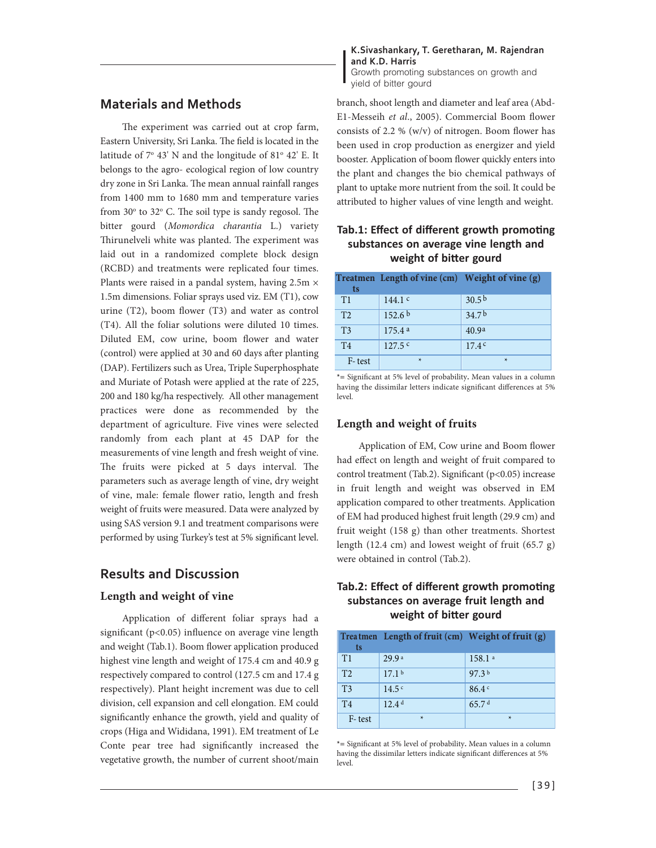## **Materials and Methods**

The experiment was carried out at crop farm, Eastern University, Sri Lanka. The field is located in the latitude of  $7^{\circ}$  43' N and the longitude of  $81^{\circ}$  42' E. It belongs to the agro- ecological region of low country dry zone in Sri Lanka. The mean annual rainfall ranges from 1400 mm to 1680 mm and temperature varies from  $30^{\circ}$  to  $32^{\circ}$  C. The soil type is sandy regosol. The bitter gourd (Momordica charantia L.) variety Thirunelveli white was planted. The experiment was laid out in a randomized complete block design (RCBD) and treatments were replicated four times. Plants were raised in a pandal system, having  $2.5m \times$ 1.5m dimensions. Foliar sprays used viz. EM (T1), cow urine (T2), boom flower (T3) and water as control (T4). All the foliar solutions were diluted 10 times. Diluted EM, cow urine, boom flower and water (control) were applied at 30 and 60 days after planting (DAP). Fertilizers such as Urea, Triple Superphosphate and Muriate of Potash were applied at the rate of 225, 200 and 180 kg/ha respectively. All other management practices were done as recommended by the department of agriculture. Five vines were selected randomly from each plant at 45 DAP for the measurements of vine length and fresh weight of vine. The fruits were picked at 5 days interval. The parameters such as average length of vine, dry weight of vine, male: female flower ratio, length and fresh weight of fruits were measured. Data were analyzed by using SAS version 9.1 and treatment comparisons were performed by using Turkey's test at 5% significant level.

## **Results and Discussion**

#### **Length and weight of vine**

Application of different foliar sprays had a significant ( $p<0.05$ ) influence on average vine length and weight (Tab.1). Boom flower application produced highest vine length and weight of 175.4 cm and 40.9 g respectively compared to control (127.5 cm and 17.4 g respectively). Plant height increment was due to cell division, cell expansion and cell elongation. EM could significantly enhance the growth, yield and quality of crops (Higa and Wididana, 1991). EM treatment of Le Conte pear tree had significantly increased the vegetative growth, the number of current shoot/main

**K.Sivashankary, T. Geretharan, M. Rajendran and K.D. Harris**  Growth promoting substances on growth and yield of bitter gourd

branch, shoot length and diameter and leaf area (Abd-E1-Messeih et al., 2005). Commercial Boom flower consists of 2.2 % (w/v) of nitrogen. Boom flower has been used in crop production as energizer and yield booster. Application of boom flower quickly enters into the plant and changes the bio chemical pathways of plant to uptake more nutrient from the soil. It could be attributed to higher values of vine length and weight.

## Tab.1: Effect of different growth promoting **substances on average vine length and** weight of bitter gourd

|                | Treatmen Length of vine (cm) Weight of vine (g) |                   |
|----------------|-------------------------------------------------|-------------------|
| ts             |                                                 |                   |
| T1             | 144.1 $c$                                       | 30.5 <sup>b</sup> |
| T <sub>2</sub> | 152.6 <sup>b</sup>                              | 34.7 <sup>b</sup> |
| T <sub>3</sub> | 175.4a                                          | 40.9 <sup>a</sup> |
| T <sub>4</sub> | 127.5c                                          | 17.4c             |
| F-test         | $\ast$                                          | $\star$           |

**\*=** Significant at 5% level of probability**.** Mean values in a column having the dissimilar letters indicate significant differences at 5% level.

#### **Length and weight of fruits**

Application of EM, Cow urine and Boom flower had effect on length and weight of fruit compared to control treatment (Tab.2). Significant (p<0.05) increase in fruit length and weight was observed in EM application compared to other treatments. Application of EM had produced highest fruit length (29.9 cm) and fruit weight (158 g) than other treatments. Shortest length (12.4 cm) and lowest weight of fruit (65.7 g) were obtained in control (Tab.2).

### Tab.2: Effect of different growth promoting **substances on average fruit length and** weight of bitter gourd

| ts             | Treatmen Length of fruit (cm) Weight of fruit (g) |                   |
|----------------|---------------------------------------------------|-------------------|
| T1             | 29.9a                                             | 158.1a            |
| T <sub>2</sub> | 17.1 <sup>b</sup>                                 | 97.3 <sup>b</sup> |
| T <sub>3</sub> | 14.5c                                             | 86.4c             |
| T <sub>4</sub> | 12.4 <sup>d</sup>                                 | 65.7d             |
| F-test         | $\star$                                           | $\star$           |

**\*=** Significant at 5% level of probability**.** Mean values in a column having the dissimilar letters indicate significant differences at 5% level.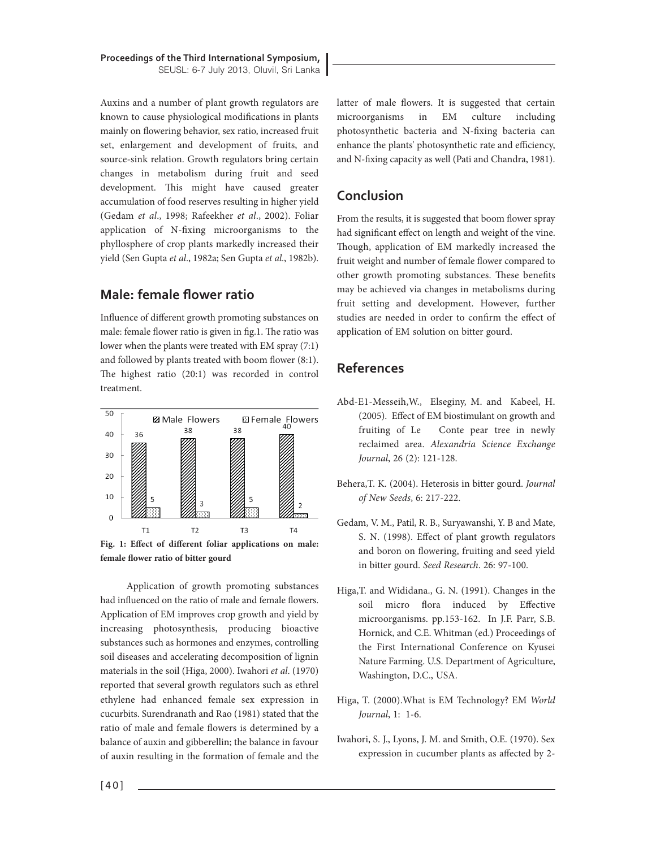**Proceedings of the Third International Symposium,** SEUSL: 6-7 July 2013, Oluvil, Sri Lanka

Auxins and a number of plant growth regulators are known to cause physiological modifications in plants mainly on flowering behavior, sex ratio, increased fruit set, enlargement and development of fruits, and source-sink relation. Growth regulators bring certain changes in metabolism during fruit and seed development. This might have caused greater accumulation of food reserves resulting in higher yield (Gedam et al., 1998; Rafeekher et al., 2002). Foliar application of N-fixing microorganisms to the phyllosphere of crop plants markedly increased their yield (Sen Gupta et al., 1982a; Sen Gupta et al., 1982b).

# **Male: female flower ratio**

Influence of different growth promoting substances on male: female flower ratio is given in fig.1. The ratio was lower when the plants were treated with EM spray (7:1) and followed by plants treated with boom flower (8:1). The highest ratio (20:1) was recorded in control treatment.





Application of growth promoting substances had influenced on the ratio of male and female flowers. Application of EM improves crop growth and yield by increasing photosynthesis, producing bioactive substances such as hormones and enzymes, controlling soil diseases and accelerating decomposition of lignin materials in the soil (Higa, 2000). Iwahori et al. (1970) reported that several growth regulators such as ethrel ethylene had enhanced female sex expression in cucurbits. Surendranath and Rao (1981) stated that the ratio of male and female flowers is determined by a balance of auxin and gibberellin; the balance in favour of auxin resulting in the formation of female and the

latter of male flowers. It is suggested that certain microorganisms in EM culture including photosynthetic bacteria and N-fixing bacteria can enhance the plants' photosynthetic rate and efficiency, and N-fixing capacity as well (Pati and Chandra, 1981).

# **Conclusion**

From the results, it is suggested that boom flower spray had significant effect on length and weight of the vine. Though, application of EM markedly increased the fruit weight and number of female flower compared to other growth promoting substances. These benefits may be achieved via changes in metabolisms during fruit setting and development. However, further studies are needed in order to confirm the effect of application of EM solution on bitter gourd.

# **References**

- Abd-E1-Messeih,W., Elseginy, M. and Kabeel, H. (2005). Effect of EM biostimulant on growth and fruiting of Le Conte pear tree in newly reclaimed area. Alexandria Science Exchange Journal, 26 (2): 121-128.
- Behera,T. K. (2004). Heterosis in bitter gourd. Journal of New Seeds, 6: 217-222.
- Gedam, V. M., Patil, R. B., Suryawanshi, Y. B and Mate, S. N. (1998). Effect of plant growth regulators and boron on flowering, fruiting and seed yield in bitter gourd. Seed Research. 26: 97-100.
- Higa,T. and Wididana., G. N. (1991). Changes in the soil micro flora induced by Effective microorganisms. pp.153-162. In J.F. Parr, S.B. Hornick, and C.E. Whitman (ed.) Proceedings of the First International Conference on Kyusei Nature Farming. U.S. Department of Agriculture, Washington, D.C., USA.
- Higa, T. (2000).What is EM Technology? EM World Journal, 1: 1-6.
- Iwahori, S. J., Lyons, J. M. and Smith, O.E. (1970). Sex expression in cucumber plants as affected by 2-